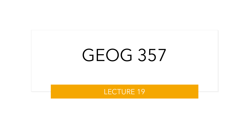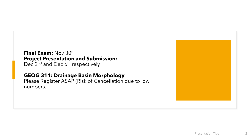### **Final Exam:** Nov 30th **Project Presentation and Submission:**

Dec 2<sup>nd</sup> and Dec 6<sup>th</sup> respectively

### **GEOG 311: Drainage Basin Morphology**

Please Register ASAP (Risk of Cancellation due to low numbers)

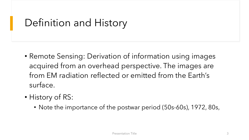# Definition and History

- Remote Sensing: Derivation of information using images acquired from an overhead perspective. The images are from EM radiation reflected or emitted from the Earth's surface.
- History of RS:
	- Note the importance of the postwar period (50s-60s), 1972, 80s,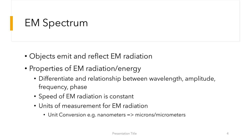# EM Spectrum

- Objects emit and reflect EM radiation
- Properties of EM radiation/energy
	- Differentiate and relationship between wavelength, amplitude, frequency, phase
	- Speed of EM radiation is constant
	- Units of measurement for EM radiation
		- Unit Conversion e.g. nanometers => microns/micrometers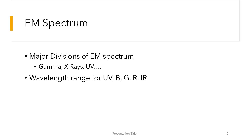## EM Spectrum

- Major Divisions of EM spectrum
	- Gamma, X-Rays, UV,…
- Wavelength range for UV, B, G, R, IR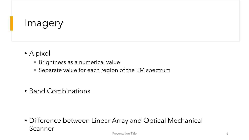### Imagery

- A pixel
	- Brightness as a numerical value
	- Separate value for each region of the EM spectrum
- Band Combinations

• Difference between Linear Array and Optical Mechanical Scanner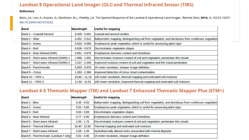### **Landsat 8 Operational Land Imager (OLI) and Thermal Infrared Sensor (TIRS)**

#### Reference

Barsi, J.A.; Lee, K.; Kvaran, G.; Markham, B.L.; Pedelty, J.A. The Spectral Response of the Landsat-8 Operational Land Imager. Remote Sens. 2014, 6, 10232-10251 doi:10.3390/rs61010232

| <b>Band</b>                           | Wavelength      | <b>Useful for mapping</b>                                                                          |
|---------------------------------------|-----------------|----------------------------------------------------------------------------------------------------|
| Band 1 - Coastal Aerosol              | $0.435 - 0.451$ | Coastal and aerosol studies                                                                        |
| Band 2 - Blue                         | $0.452 - 0.512$ | Bathymetric mapping, distinguishing soil from vegetation, and deciduous from coniferous vegetation |
| Band 3 - Green                        | $0.533 - 0.590$ | Emphasizes peak vegetation, which is useful for assessing plant vigor                              |
| Band 4 - Red                          | $0.636 - 0.673$ | Discriminates vegetation slopes                                                                    |
| Band 5 - Near Infrared (NIR)          | $0.851 - 0.879$ | Emphasizes biomass content and shorelines                                                          |
| Band 6 - Short-wave Infrared (SWIR) 1 | $1.566 - 1.651$ | Discriminates moisture content of soil and vegetation; penetrates thin clouds                      |
| Band 7 - Short-wave Infrared (SWIR) 2 | $2.107 - 2.294$ | Improved moisture content of soil and vegetation and thin cloud penetration                        |
| Band 8 - Panchromatic                 | $0.503 - 0.676$ | 15 meter resolution, sharper image definition                                                      |
| <b>Band 9 - Cirrus</b>                | $1.363 - 1.384$ | Improved detection of cirrus cloud contamination                                                   |
| Band 10 - TIRS 1                      | $10.60 - 11.19$ | 100 meter resolution, thermal mapping and estimated soil moisture                                  |
| <b>Band 11 - TIRS 2</b>               | $11.50 - 12.51$ | 100 meter resolution, Improved thermal mapping and estimated soil moisture                         |

### Landsat 4-5 Thematic Mapper (TM) and Landsat 7 Enhanced Thematic Mapper Plus (ETM+)

| <b>Band</b>                            | Wavelength      | <b>Useful for mapping</b>                                                                          |  |  |  |  |
|----------------------------------------|-----------------|----------------------------------------------------------------------------------------------------|--|--|--|--|
| Band 1 - Blue                          | $0.45 - 0.52$   | Bathymetric mapping, distinguishing soil from vegetation, and deciduous from coniferous vegetation |  |  |  |  |
| Band 2 - Green                         | $0.52 - 0.60$   | Emphasizes peak vegetation, which is useful for assessing plant vigor                              |  |  |  |  |
| Band 3 - Red                           | $0.63 - 0.69$   | Discriminates vegetation slopes                                                                    |  |  |  |  |
| Band 4 - Near Infrared                 | $0.77 - 0.90$   | Emphasizes biomass content and shorelines                                                          |  |  |  |  |
| Band 5 - Short-wave Infrared           | $1.55 - 1.75$   | Discriminates moisture content of soil and vegetation; penetrates thin clouds                      |  |  |  |  |
| Band 6 - Thermal Infrared              | $10.40 - 12.50$ | Thermal mapping and estimated soil moisture                                                        |  |  |  |  |
| Band 7 - Short-wave Infrared           | $2.09 - 2.35$   | Hydrothermally altered rocks associated with mineral deposits                                      |  |  |  |  |
| Band 8 - Panchromatic (Landsat 7 only) | $0.52 - 0.90$   | 15 meter resolution, sharper image definition                                                      |  |  |  |  |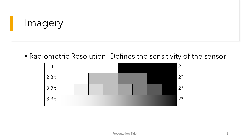### Imagery

• Radiometric Resolution: Defines the sensitivity of the sensor

| 1 Bit |  |  |  |  | 2 <sup>1</sup> |
|-------|--|--|--|--|----------------|
| 2 Bit |  |  |  |  | 2 <sup>2</sup> |
| 3 Bit |  |  |  |  | $2^3$          |
| 8 Bit |  |  |  |  | 2 <sup>8</sup> |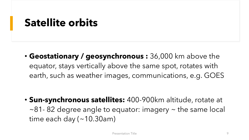# **Satellite orbits**

• **Geostationary / geosynchronous :** 36,000 km above the equator, stays vertically above the same spot, rotates with earth, such as weather images, communications, e.g. GOES

• **Sun-synchronous satellites:** 400-900km altitude, rotate at  $\sim$ 81-82 degree angle to equator: imagery  $\sim$  the same local time each day  $(-10.30am)$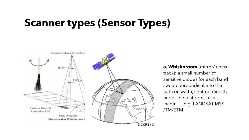# **Scanner types (Sensor Types)**



**a. Whiskbroom** (mirror/ crosstrack): a small number of sensitive diodes for each band sweep perpendicular to the path or swath, centred directly under the platform, i.e. at 'nadir' e.g. LANDSAT MSS /TM/ETM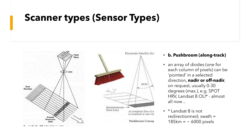### **Scanner types (Sensor Types)**



#### • **b. Pushbroom (along-track)**

- an array of diodes (one for each column of pixels) can be 'pointed' in a selected direction, **nadir or off-nadir**, on request, usually 0-30 degrees (max.), e.g. SPOT HRV, Landsat 8 OLI\* - almost all now ..
- \* Landsat 8 is not redirectionned; swath =  $185km = ~6000$  pixels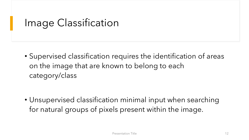# Image Classification

• Supervised classification requires the identification of areas on the image that are known to belong to each category/class

• Unsupervised classification minimal input when searching for natural groups of pixels present within the image.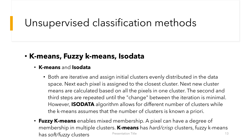# Unsupervised classification methods

### • **K-means, Fuzzy k-means, Isodata**

### • **K-means** and **Isodata**

- Both are iterative and assign initial clusters evenly distributed in the data space. Next each pixel is assigned to the closest cluster. Next new cluster means are calculated based on all the pixels in one cluster. The second and third steps are repeated until the "change" between the iteration is minimal. However, **ISODATA** algorithm allows for different number of clusters while the k-means assumes that the number of clusters is known a priori.
- **Fuzzy K-means** enables mixed membership. A pixel can have a degree of membership in multiple clusters. **K-means** has *hard/crisp* clusters, fuzzy k-means has *soft/fuzzy* clusters **Presentation Title** 13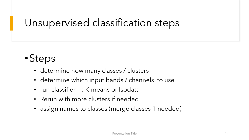# Unsupervised classification steps

# •Steps

- determine how many classes / clusters
- determine which input bands / channels to use
- run classifier : K-means or Isodata
- Rerun with more clusters if needed
- assign names to classes (merge classes if needed)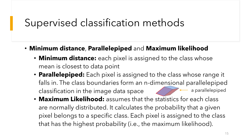### Supervised classification methods

- **Minimum distance**, **Parallelepiped** and **Maximum likelihood**
	- **Minimum distance:** each pixel is assigned to the class whose mean is closest to data point
	- **Parallelepiped:** Each pixel is assigned to the class whose range it falls in. The class boundaries form an n-dimensional parallelepiped classification in the image data space a parallelepiped
	- **Maximum Likelihood:** assumes that the statistics for each class are normally distributed. It calculates the probability that a given pixel belongs to a specific class. Each pixel is assigned to the class that has the highest probability (i.e., the maximum likelihood).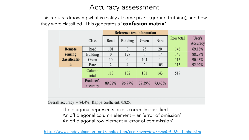### Accuracy assessment

This requires knowing what is reality at some pixels (ground truthing), and how they were classified. This generates a **'confusion matrix'**

|               |                        | <b>Reference test information</b> |          |          |        |           |                    |
|---------------|------------------------|-----------------------------------|----------|----------|--------|-----------|--------------------|
| Class         |                        | Road                              | Building | Green    | Bare   | Row total | User's<br>Accuracy |
| <b>Remote</b> | Road                   | 101                               | 0        | 25       | 20     | 146       | 69.18%             |
| sensing       | Building               | $\boldsymbol{0}$                  | 128      | $\theta$ | 17     | 145       | 88.28%             |
| classificatio | Green                  | 10                                | $\theta$ | 104      |        | 115       | 90.43%             |
| $\mathbf n$   | Bare                   | $\overline{\mathcal{L}}$          | 4        | 2        | 105    | 113       | 92.92%             |
|               | Column<br>total        | 113                               | 132      | 131      | 143    | 519       |                    |
|               | Producer's<br>accuracy | 89.38%                            | 96.97%   | 79.39%   | 73.43% |           |                    |

Overall accuracy =  $84.4\%$ , Kappa coefficient: 0.825.

The diagonal represents pixels correctly classified An off diagonal column element = an 'error of omission' An off diagonal row element = 'error of commission'

[http://www.gisdevelopment.net/application/nrm/overview/mma09\\_Mustapha.htm](http://www.gisdevelopment.net/application/nrm/overview/mma09_Mustapha.htm)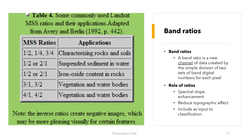$\blacksquare$  Table 4. Some commonly used Landsat MSS ratios and their applications. Adapted from Avery and Berlin (1992, p. 442).

| <b>MSS Ratios</b>     | <b>Applications</b>            |
|-----------------------|--------------------------------|
| $1/2$ , $1/4$ , $3/4$ | Characterizing rocks and soils |
| $1/2$ or $2/1$        | Suspended sediment in water    |
| $1/2$ or $2/1$        | Iron-oxide content in rocks    |
| 3/1, 3/2              | Vegetation and water bodies    |
| 4/1, 4/2              | Vegetation and water bodies    |

Note: the inverse ratios create negative images, which may be more pleasing visually for certain features.

### **Band ratios**

#### • **Band ratios**

- A band ratio is a new channel of data created by the simple division of two sets of band digital numbers for each pixel
- **Role of ratios**
	- Spectral slope enhancement
	- Reduce topographic effect
	- Include as input to classification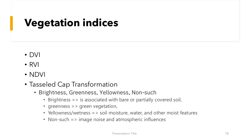# **Vegetation indices**

- DVI
- RVI
- NDVI
- Tasseled Cap Transformation
	- Brightness, Greenness, Yellowness, Non-such
		- Brightness => is associated with bare or partially covered soil,
		- greenness => green vegetation,
		- Yellowness/wetness => soil moisture, water, and other moist features
		- Non-such => image noise and atmospheric influences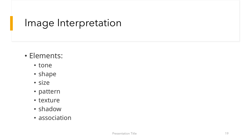### Image Interpretation

### • Elements:

- tone
- shape
- size
- pattern
- texture
- shadow
- association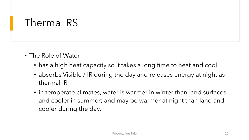### Thermal RS

- The Role of Water
	- has a high heat capacity so it takes a long time to heat and cool.
	- absorbs Visible / IR during the day and releases energy at night as thermal IR
	- in temperate climates, water is warmer in winter than land surfaces and cooler in summer; and may be warmer at night than land and cooler during the day.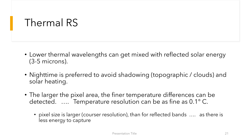### Thermal RS

- Lower thermal wavelengths can get mixed with reflected solar energy (3-5 microns).
- Nighttime is preferred to avoid shadowing (topographic / clouds) and solar heating.
- The larger the pixel area, the finer temperature differences can be detected. …. Temperature resolution can be as fine as 0.1° C.
	- pixel size is larger (courser resolution), than for reflected bands …. as there is less energy to capture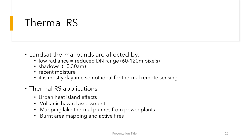### Thermal RS

- Landsat thermal bands are affected by:
	- low radiance = reduced DN range (60-120m pixels)
	- shadows (10.30am)
	- recent moisture
	- it is mostly daytime so not ideal for thermal remote sensing
- Thermal RS applications
	- Urban heat island effects
	- Volcanic hazard assessment
	- Mapping lake thermal plumes from power plants
	- Burnt area mapping and active fires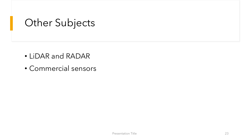## Other Subjects

- LiDAR and RADAR
- Commercial sensors